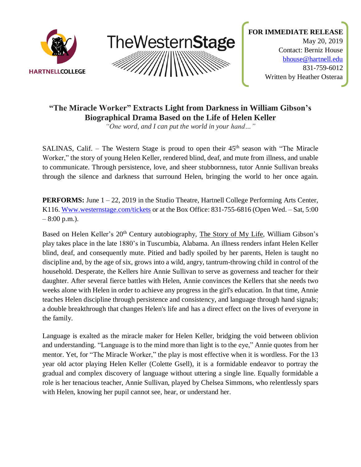



# **"The Miracle Worker" Extracts Light from Darkness in William Gibson's Biographical Drama Based on the Life of Helen Keller**

*"One word, and I can put the world in your hand…"*

SALINAS, Calif. – The Western Stage is proud to open their 45th season with "The Miracle Worker," the story of young Helen Keller, rendered blind, deaf, and mute from illness, and unable to communicate. Through persistence, love, and sheer stubbornness, tutor Annie Sullivan breaks through the silence and darkness that surround Helen, bringing the world to her once again.

**PERFORMS:** June  $1 - 22$ , 2019 in the Studio Theatre, Hartnell College Performing Arts Center, K116. [Www.westernstage.com/tickets](http://www.westernstage.com/tickets) or at the Box Office: 831-755-6816 (Open Wed. – Sat, 5:00  $-8:00$  p.m.).

Based on Helen Keller's 20<sup>th</sup> Century autobiography, The Story of My Life, William Gibson's play takes place in the late 1880's in Tuscumbia, Alabama. An illness renders infant Helen Keller blind, deaf, and consequently mute. Pitied and badly spoiled by her parents, Helen is taught no discipline and, by the age of six, grows into a wild, angry, tantrum-throwing child in control of the household. Desperate, the Kellers hire Annie Sullivan to serve as governess and teacher for their daughter. After several fierce battles with Helen, Annie convinces the Kellers that she needs two weeks alone with Helen in order to achieve any progress in the girl's education. In that time, Annie teaches Helen discipline through persistence and consistency, and language through hand signals; a double breakthrough that changes Helen's life and has a direct effect on the lives of everyone in the family.

Language is exalted as the miracle maker for Helen Keller, bridging the void between oblivion and understanding. "Language is to the mind more than light is to the eye," Annie quotes from her mentor. Yet, for "The Miracle Worker," the play is most effective when it is wordless. For the 13 year old actor playing Helen Keller (Colette Gsell), it is a formidable endeavor to portray the gradual and complex discovery of language without uttering a single line. Equally formidable a role is her tenacious teacher, Annie Sullivan, played by Chelsea Simmons, who relentlessly spars with Helen, knowing her pupil cannot see, hear, or understand her.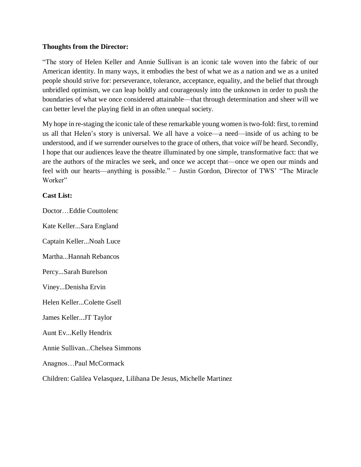#### **Thoughts from the Director:**

"The story of Helen Keller and Annie Sullivan is an iconic tale woven into the fabric of our American identity. In many ways, it embodies the best of what we as a nation and we as a united people should strive for: perseverance, tolerance, acceptance, equality, and the belief that through unbridled optimism, we can leap boldly and courageously into the unknown in order to push the boundaries of what we once considered attainable—that through determination and sheer will we can better level the playing field in an often unequal society.

My hope in re-staging the iconic tale of these remarkable young women istwo-fold: first, to remind us all that Helen's story is universal. We all have a voice—a need—inside of us aching to be understood, and if we surrender ourselves to the grace of others, that voice *will* be heard. Secondly, I hope that our audiences leave the theatre illuminated by one simple, transformative fact: that we are the authors of the miracles we seek, and once we accept that—once we open our minds and feel with our hearts—anything is possible." – Justin Gordon, Director of TWS' "The Miracle Worker"

### **Cast List:**

Doctor…Eddie Couttolenc Kate Keller...Sara England Captain Keller...Noah Luce Martha...Hannah Rebancos Percy...Sarah Burelson Viney...Denisha Ervin Helen Keller...Colette Gsell James Keller...JT Taylor Aunt Ev...Kelly Hendrix Annie Sullivan...Chelsea Simmons Anagnos…Paul McCormack Children: Galilea Velasquez, Lilihana De Jesus, Michelle Martinez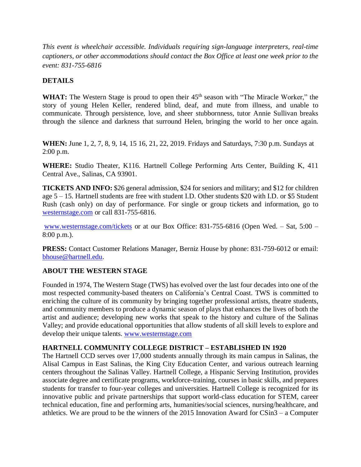*This event is wheelchair accessible. Individuals requiring sign-language interpreters, real-time captioners, or other accommodations should contact the Box Office at least one week prior to the event: 831-755-6816*

# **DETAILS**

WHAT: The Western Stage is proud to open their 45<sup>th</sup> season with "The Miracle Worker," the story of young Helen Keller, rendered blind, deaf, and mute from illness, and unable to communicate. Through persistence, love, and sheer stubbornness, tutor Annie Sullivan breaks through the silence and darkness that surround Helen, bringing the world to her once again.

**WHEN:** June 1, 2, 7, 8, 9, 14, 15 16, 21, 22, 2019. Fridays and Saturdays, 7:30 p.m. Sundays at 2:00 p.m.

**WHERE:** Studio Theater, K116. Hartnell College Performing Arts Center, Building K, 411 Central Ave., Salinas, CA 93901.

**TICKETS AND INFO:** \$26 general admission, \$24 for seniors and military; and \$12 for children age 5 – 15. Hartnell students are free with student I.D. Other students \$20 with I.D. or \$5 Student Rush (cash only) on day of performance. For single or group tickets and information, go to [westernstage.com](http://www.westernstage.com/) or call 831-755-6816.

[www.westernstage.com/tickets](http://www.westernstage.com/tickets) or at our Box Office: 831-755-6816 (Open Wed. – Sat, 5:00 – 8:00 p.m.).

**PRESS:** Contact Customer Relations Manager, Berniz House by phone: 831-759-6012 or email: [bhouse@hartnell.edu.](mailto:bhouse@hartnell.edu)

## **ABOUT THE WESTERN STAGE**

Founded in 1974, The Western Stage (TWS) has evolved over the last four decades into one of the most respected community-based theaters on California's Central Coast. TWS is committed to enriching the culture of its community by bringing together professional artists, theatre students, and community members to produce a dynamic season of plays that enhances the lives of both the artist and audience; developing new works that speak to the history and culture of the Salinas Valley; and provide educational opportunities that allow students of all skill levels to explore and develop their unique talents. www.westernstage.com

## **HARTNELL COMMUNITY COLLEGE DISTRICT – ESTABLISHED IN 1920**

The Hartnell CCD serves over 17,000 students annually through its main campus in Salinas, the Alisal Campus in East Salinas, the King City Education Center, and various outreach learning centers throughout the Salinas Valley. Hartnell College, a Hispanic Serving Institution, provides associate degree and certificate programs, workforce-training, courses in basic skills, and prepares students for transfer to four-year colleges and universities. Hartnell College is recognized for its innovative public and private partnerships that support world-class education for STEM, career technical education, fine and performing arts, humanities/social sciences, nursing/healthcare, and athletics. We are proud to be the winners of the 2015 Innovation Award for CSin3 – a Computer